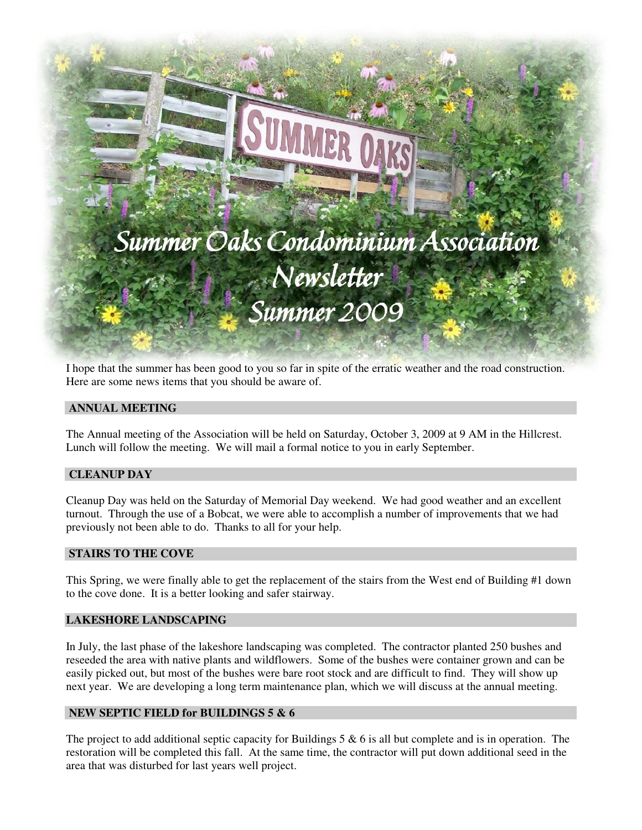

# Summer Oaks Condominium Association Newsletter Summer 2009

I hope that the summer has been good to you so far in spite of the erratic weather and the road construction. Here are some news items that you should be aware of.

# **ANNUAL MEETING**

The Annual meeting of the Association will be held on Saturday, October 3, 2009 at 9 AM in the Hillcrest. Lunch will follow the meeting. We will mail a formal notice to you in early September.

### **CLEANUP DAY**

Cleanup Day was held on the Saturday of Memorial Day weekend. We had good weather and an excellent turnout. Through the use of a Bobcat, we were able to accomplish a number of improvements that we had previously not been able to do. Thanks to all for your help.

# **STAIRS TO THE COVE**

This Spring, we were finally able to get the replacement of the stairs from the West end of Building #1 down to the cove done. It is a better looking and safer stairway.

#### **LAKESHORE LANDSCAPING**

In July, the last phase of the lakeshore landscaping was completed. The contractor planted 250 bushes and reseeded the area with native plants and wildflowers. Some of the bushes were container grown and can be easily picked out, but most of the bushes were bare root stock and are difficult to find. They will show up next year. We are developing a long term maintenance plan, which we will discuss at the annual meeting.

# **NEW SEPTIC FIELD for BUILDINGS 5 & 6**

The project to add additional septic capacity for Buildings  $5 \& 6$  is all but complete and is in operation. The restoration will be completed this fall. At the same time, the contractor will put down additional seed in the area that was disturbed for last years well project.